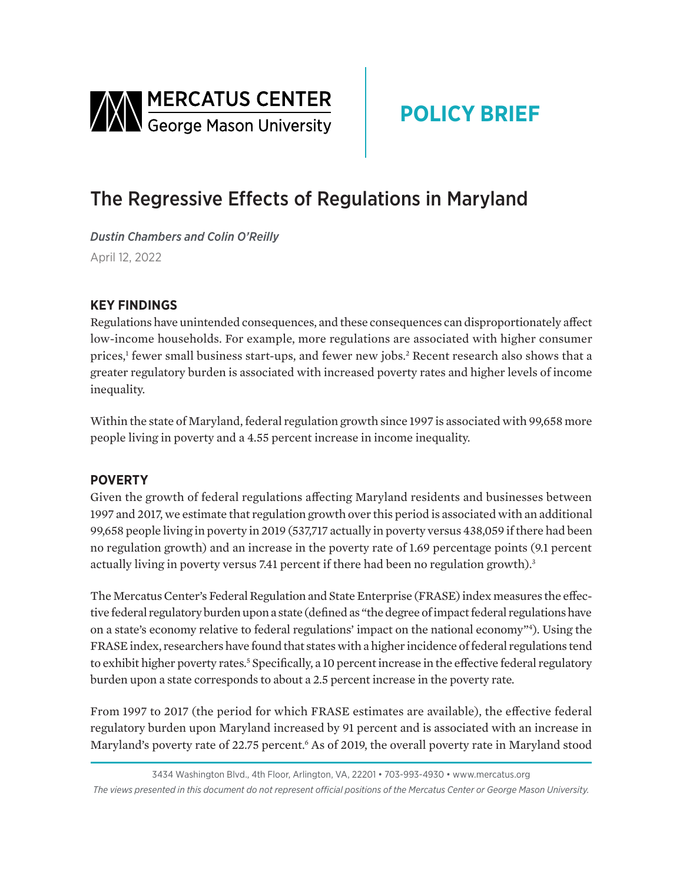<span id="page-0-0"></span>

# **POLICY BRIEF**

## The Regressive Effects of Regulations in Maryland

*Dustin Chambers and Colin O'Reilly*  April 12, 2022

### **KEY FINDINGS**

Regulations have unintended consequences, and these consequences can disproportionately affect low-income households. For example, more regulations are associated with higher consumer prices,<sup>[1](#page-2-0)</sup> fewer small business start-ups, and fewer new jobs.<sup>[2](#page-2-0)</sup> Recent research also shows that a greater regulatory burden is associated with increased poverty rates and higher levels of income inequality.

Within the state of Maryland, federal regulation growth since 1997 is associated with 99,658 more people living in poverty and a 4.55 percent increase in income inequality.

#### **POVERTY**

Given the growth of federal regulations affecting Maryland residents and businesses between 1997 and 2017, we estimate that regulation growth over this period is associated with an additional 99,658 people living in poverty in 2019 (537,717 actually in poverty versus 438,059 if there had been no regulation growth) and an increase in the poverty rate of 1.69 percentage points (9.1 percent actually living in poverty versus 7.41 percent if there had been no regulation growth).<sup>3</sup>

The Mercatus Center's Federal Regulation and State Enterprise (FRASE) index measures the effective federal regulatory burden upon a state (defined as "the degree of impact federal regulations have on a state's economy relative to federal regulations' impact on the national economy["4](#page-2-0) ). Using the FRASE index, researchers have found that states with a higher incidence of federal regulations tend to exhibit higher poverty rates.<sup>5</sup> Specifically, a 10 percent increase in the effective federal regulatory burden upon a state corresponds to about a 2.5 percent increase in the poverty rate.

From 1997 to 2017 (the period for which FRASE estimates are available), the effective federal regulatory burden upon Maryland increased by 91 percent and is associated with an increase in Maryland's poverty rate of 22.75 percent.<sup>6</sup> As of 2019, the overall poverty rate in Maryland stood

<sup>3434</sup> Washington Blvd., 4th Floor, Arlington, VA, 22201 • 703-993-4930 • www.mercatus.org *The views presented in this document do not represent official positions of the Mercatus Center or George Mason University.*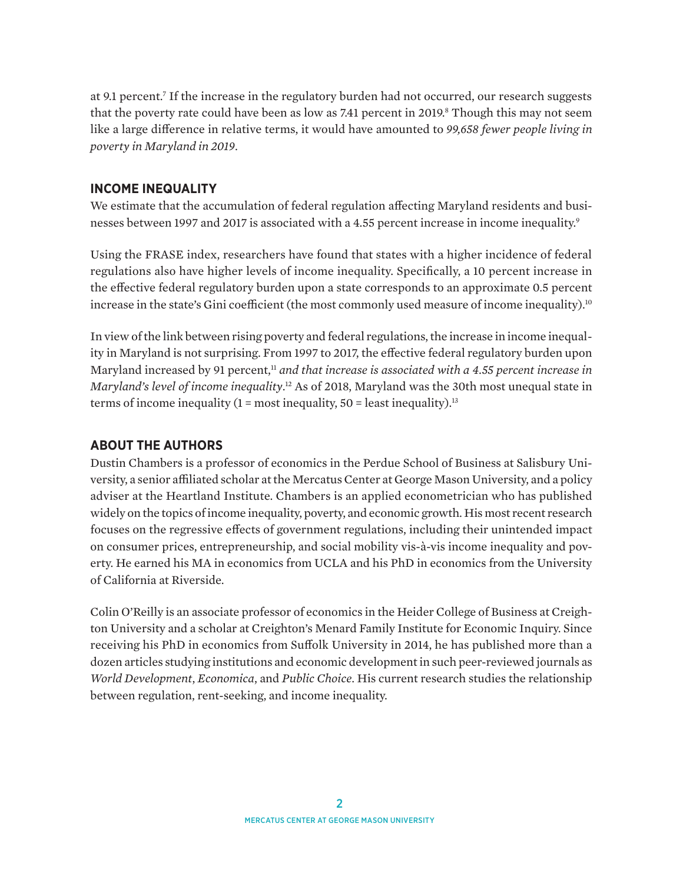<span id="page-1-0"></span>at 9.1 percent.<sup>7</sup> If the increase in the regulatory burden had not occurred, our research suggests that the poverty rate could have been as low as 7.41 percent in 2019.<sup>8</sup> Though this may not seem like a large difference in relative terms, it would have amounted to *99,658 fewer people living in poverty in Maryland in 2019*.

#### **INCOME INEQUALITY**

We estimate that the accumulation of federal regulation affecting Maryland residents and busi-nesses between 1[9](#page-2-0)97 and 2017 is associated with a 4.55 percent increase in income inequality.<sup>9</sup>

Using the FRASE index, researchers have found that states with a higher incidence of federal regulations also have higher levels of income inequality. Specifically, a 10 percent increase in the effective federal regulatory burden upon a state corresponds to an approximate 0.5 percent increase in the state's Gini coefficient (the most commonly used measure of income inequality).<sup>[10](#page-2-0)</sup>

In view of the link between rising poverty and federal regulations, the increase in income inequality in Maryland is not surprising. From 1997 to 2017, the effective federal regulatory burden upon Maryland increased by 91 percent,<sup>[11](#page-2-0)</sup> *and that increase is associated with a 4.55 percent increase in Maryland's level of income inequality*. [12](#page-2-0) As of 2018, Maryland was the 30th most unequal state in terms of income inequality  $(1 = \text{most inequality}, 50 = \text{least inequality})$ .<sup>13</sup>

#### **ABOUT THE AUTHORS**

Dustin Chambers is a professor of economics in the Perdue School of Business at Salisbury University, a senior affiliated scholar at the Mercatus Center at George Mason University, and a policy adviser at the Heartland Institute. Chambers is an applied econometrician who has published widely on the topics of income inequality, poverty, and economic growth. His most recent research focuses on the regressive effects of government regulations, including their unintended impact on consumer prices, entrepreneurship, and social mobility vis-à-vis income inequality and poverty. He earned his MA in economics from UCLA and his PhD in economics from the University of California at Riverside.

Colin O'Reilly is an associate professor of economics in the Heider College of Business at Creighton University and a scholar at Creighton's Menard Family Institute for Economic Inquiry. Since receiving his PhD in economics from Suffolk University in 2014, he has published more than a dozen articles studying institutions and economic development in such peer-reviewed journals as *World Development*, *Economica*, and *Public Choice*. His current research studies the relationship between regulation, rent-seeking, and income inequality.